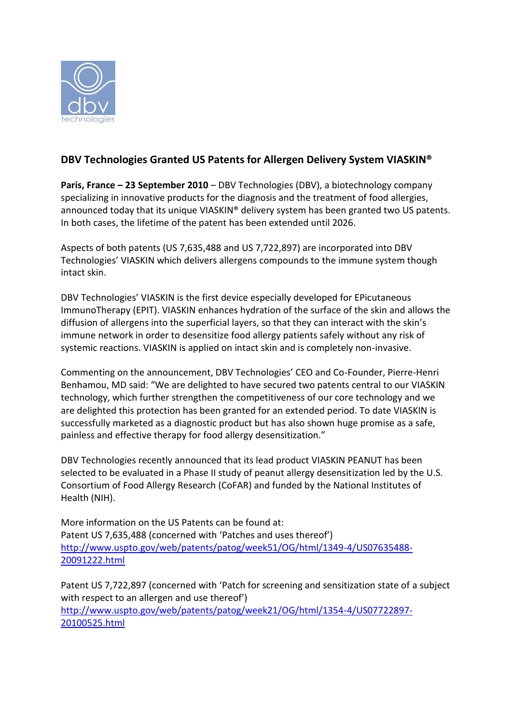

## **DBV Technologies Granted US Patents for Allergen Delivery System VIASKIN®**

**Paris, France – 23 September 2010** – DBV Technologies (DBV), a biotechnology company specializing in innovative products for the diagnosis and the treatment of food allergies, announced today that its unique VIASKIN® delivery system has been granted two US patents. In both cases, the lifetime of the patent has been extended until 2026.

Aspects of both patents (US 7,635,488 and US 7,722,897) are incorporated into DBV Technologies' VIASKIN which delivers allergens compounds to the immune system though intact skin.

DBV Technologies' VIASKIN is the first device especially developed for EPicutaneous ImmunoTherapy (EPIT). VIASKIN enhances hydration of the surface of the skin and allows the diffusion of allergens into the superficial layers, so that they can interact with the skin's immune network in order to desensitize food allergy patients safely without any risk of systemic reactions. VIASKIN is applied on intact skin and is completely non-invasive.

Commenting on the announcement, DBV Technologies' CEO and Co-Founder, Pierre-Henri Benhamou, MD said: "We are delighted to have secured two patents central to our VIASKIN technology, which further strengthen the competitiveness of our core technology and we are delighted this protection has been granted for an extended period. To date VIASKIN is successfully marketed as a diagnostic product but has also shown huge promise as a safe, painless and effective therapy for food allergy desensitization."

DBV Technologies recently announced that its lead product VIASKIN PEANUT has been selected to be evaluated in a Phase II study of peanut allergy desensitization led by the U.S. Consortium of Food Allergy Research (CoFAR) and funded by the National Institutes of Health (NIH).

More information on the US Patents can be found at: Patent US 7,635,488 (concerned with 'Patches and uses thereof') [http://www.uspto.gov/web/patents/patog/week51/OG/html/1349-4/US07635488-](http://www.uspto.gov/web/patents/patog/week51/OG/html/1349-4/US07635488-20091222.html) [20091222.html](http://www.uspto.gov/web/patents/patog/week51/OG/html/1349-4/US07635488-20091222.html)

Patent US 7,722,897 (concerned with 'Patch for screening and sensitization state of a subject with respect to an allergen and use thereof') [http://www.uspto.gov/web/patents/patog/week21/OG/html/1354-4/US07722897-](http://www.uspto.gov/web/patents/patog/week21/OG/html/1354-4/US07722897-20100525.html) [20100525.html](http://www.uspto.gov/web/patents/patog/week21/OG/html/1354-4/US07722897-20100525.html)